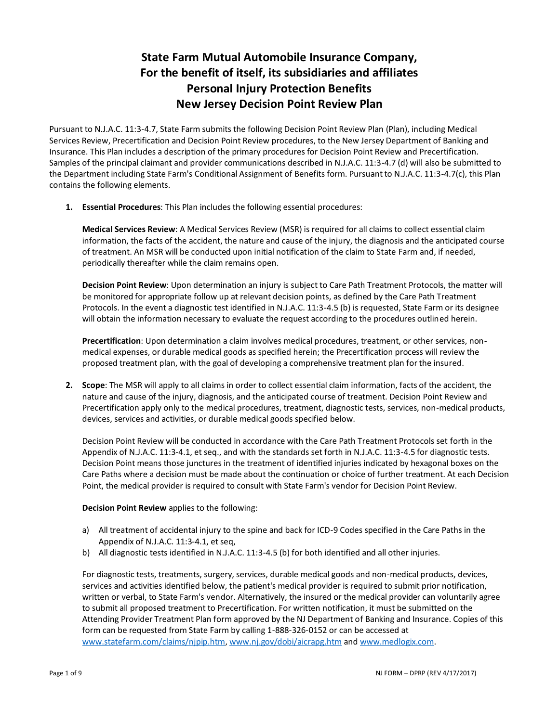# **State Farm Mutual Automobile Insurance Company, For the benefit of itself, its subsidiaries and affiliates Personal Injury Protection Benefits New Jersey Decision Point Review Plan**

Pursuant to N.J.A.C. 11:3-4.7, State Farm submits the following Decision Point Review Plan (Plan), including Medical Services Review, Precertification and Decision Point Review procedures, to the New Jersey Department of Banking and Insurance. This Plan includes a description of the primary procedures for Decision Point Review and Precertification. Samples of the principal claimant and provider communications described in N.J.A.C. 11:3-4.7 (d) will also be submitted to the Department including State Farm's Conditional Assignment of Benefits form. Pursuant to N.J.A.C. 11:3-4.7(c), this Plan contains the following elements.

**1. Essential Procedures**: This Plan includes the following essential procedures:

**Medical Services Review**: A Medical Services Review (MSR) is required for all claims to collect essential claim information, the facts of the accident, the nature and cause of the injury, the diagnosis and the anticipated course of treatment. An MSR will be conducted upon initial notification of the claim to State Farm and, if needed, periodically thereafter while the claim remains open.

**Decision Point Review**: Upon determination an injury is subject to Care Path Treatment Protocols, the matter will be monitored for appropriate follow up at relevant decision points, as defined by the Care Path Treatment Protocols. In the event a diagnostic test identified in N.J.A.C. 11:3-4.5 (b) is requested, State Farm or its designee will obtain the information necessary to evaluate the request according to the procedures outlined herein.

**Precertification**: Upon determination a claim involves medical procedures, treatment, or other services, nonmedical expenses, or durable medical goods as specified herein; the Precertification process will review the proposed treatment plan, with the goal of developing a comprehensive treatment plan for the insured.

**2. Scope**: The MSR will apply to all claims in order to collect essential claim information, facts of the accident, the nature and cause of the injury, diagnosis, and the anticipated course of treatment. Decision Point Review and Precertification apply only to the medical procedures, treatment, diagnostic tests, services, non-medical products, devices, services and activities, or durable medical goods specified below.

Decision Point Review will be conducted in accordance with the Care Path Treatment Protocols set forth in the Appendix of N.J.A.C. 11:3-4.1, et seq., and with the standards set forth in N.J.A.C. 11:3-4.5 for diagnostic tests. Decision Point means those junctures in the treatment of identified injuries indicated by hexagonal boxes on the Care Paths where a decision must be made about the continuation or choice of further treatment. At each Decision Point, the medical provider is required to consult with State Farm's vendor for Decision Point Review.

## **Decision Point Review** applies to the following:

- a) All treatment of accidental injury to the spine and back for ICD-9 Codes specified in the Care Paths in the Appendix of N.J.A.C. 11:3-4.1, et seq,
- b) All diagnostic tests identified in N.J.A.C. 11:3-4.5 (b) for both identified and all other injuries.

For diagnostic tests, treatments, surgery, services, durable medical goods and non-medical products, devices, services and activities identified below, the patient's medical provider is required to submit prior notification, written or verbal, to State Farm's vendor. Alternatively, the insured or the medical provider can voluntarily agree to submit all proposed treatment to Precertification. For written notification, it must be submitted on the Attending Provider Treatment Plan form approved by the NJ Department of Banking and Insurance. Copies of this form can be requested from State Farm by calling 1-888-326-0152 or can be accessed at [www.statefarm.com/claims/njpip.htm,](http://www.statefarm.com/claims/njpip.htm) [www.nj.gov/dobi/aicrapg.htm](http://www.nj.gov/dobi/aicrapg.htm) an[d www.medlogix.com.](http://www.medlogix.com/)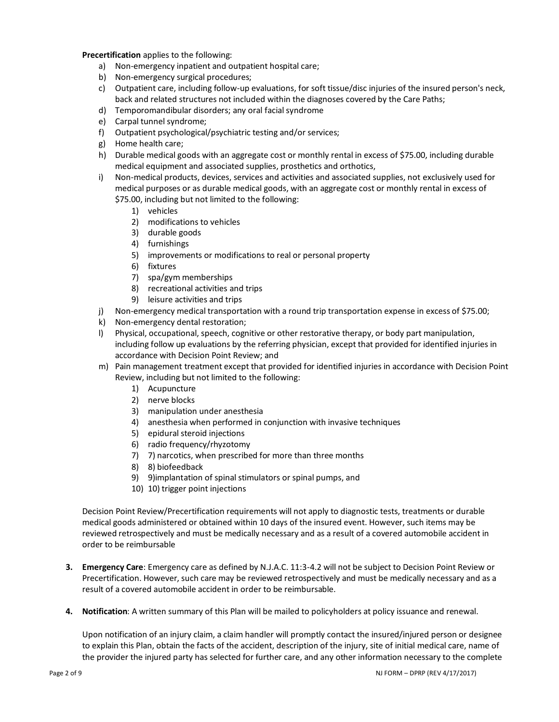**Precertification** applies to the following:

- a) Non-emergency inpatient and outpatient hospital care;
- b) Non-emergency surgical procedures;
- c) Outpatient care, including follow-up evaluations, for soft tissue/disc injuries of the insured person's neck, back and related structures not included within the diagnoses covered by the Care Paths;
- d) Temporomandibular disorders; any oral facial syndrome
- e) Carpal tunnel syndrome;
- f) Outpatient psychological/psychiatric testing and/or services;
- g) Home health care;
- h) Durable medical goods with an aggregate cost or monthly rental in excess of \$75.00, including durable medical equipment and associated supplies, prosthetics and orthotics,
- i) Non-medical products, devices, services and activities and associated supplies, not exclusively used for medical purposes or as durable medical goods, with an aggregate cost or monthly rental in excess of \$75.00, including but not limited to the following:
	- 1) vehicles
	- 2) modifications to vehicles
	- 3) durable goods
	- 4) furnishings
	- 5) improvements or modifications to real or personal property
	- 6) fixtures
	- 7) spa/gym memberships
	- 8) recreational activities and trips
	- 9) leisure activities and trips
- j) Non-emergency medical transportation with a round trip transportation expense in excess of \$75.00;
- k) Non-emergency dental restoration;
- l) Physical, occupational, speech, cognitive or other restorative therapy, or body part manipulation, including follow up evaluations by the referring physician, except that provided for identified injuries in accordance with Decision Point Review; and
- m) Pain management treatment except that provided for identified injuries in accordance with Decision Point Review, including but not limited to the following:
	- 1) Acupuncture
	- 2) nerve blocks
	- 3) manipulation under anesthesia
	- 4) anesthesia when performed in conjunction with invasive techniques
	- 5) epidural steroid injections
	- 6) radio frequency/rhyzotomy
	- 7) 7) narcotics, when prescribed for more than three months
	- 8) 8) biofeedback
	- 9) 9)implantation of spinal stimulators or spinal pumps, and
	- 10) 10) trigger point injections

Decision Point Review/Precertification requirements will not apply to diagnostic tests, treatments or durable medical goods administered or obtained within 10 days of the insured event. However, such items may be reviewed retrospectively and must be medically necessary and as a result of a covered automobile accident in order to be reimbursable

- **3. Emergency Care**: Emergency care as defined by N.J.A.C. 11:3-4.2 will not be subject to Decision Point Review or Precertification. However, such care may be reviewed retrospectively and must be medically necessary and as a result of a covered automobile accident in order to be reimbursable.
- **4. Notification**: A written summary of this Plan will be mailed to policyholders at policy issuance and renewal.

Upon notification of an injury claim, a claim handler will promptly contact the insured/injured person or designee to explain this Plan, obtain the facts of the accident, description of the injury, site of initial medical care, name of the provider the injured party has selected for further care, and any other information necessary to the complete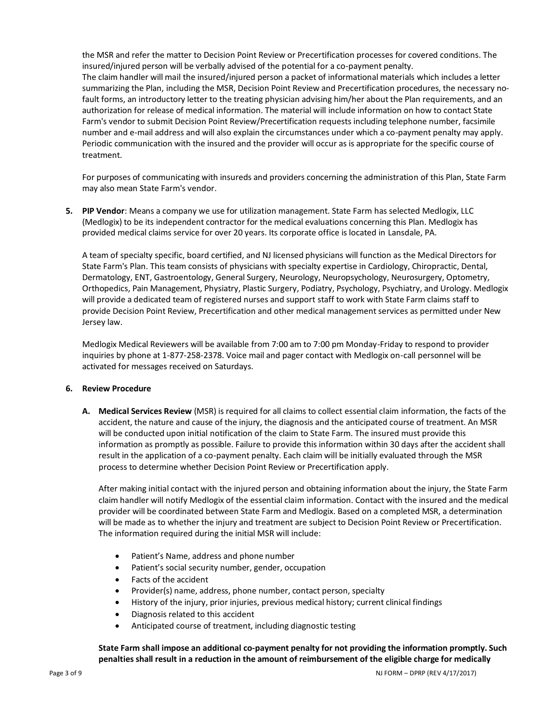the MSR and refer the matter to Decision Point Review or Precertification processes for covered conditions. The insured/injured person will be verbally advised of the potential for a co-payment penalty. The claim handler will mail the insured/injured person a packet of informational materials which includes a letter summarizing the Plan, including the MSR, Decision Point Review and Precertification procedures, the necessary nofault forms, an introductory letter to the treating physician advising him/her about the Plan requirements, and an authorization for release of medical information. The material will include information on how to contact State Farm's vendor to submit Decision Point Review/Precertification requests including telephone number, facsimile number and e-mail address and will also explain the circumstances under which a co-payment penalty may apply. Periodic communication with the insured and the provider will occur as is appropriate for the specific course of treatment.

For purposes of communicating with insureds and providers concerning the administration of this Plan, State Farm may also mean State Farm's vendor.

**5. PIP Vendor**: Means a company we use for utilization management. State Farm has selected Medlogix, LLC (Medlogix) to be its independent contractor for the medical evaluations concerning this Plan. Medlogix has provided medical claims service for over 20 years. Its corporate office is located in Lansdale, PA.

A team of specialty specific, board certified, and NJ licensed physicians will function as the Medical Directors for State Farm's Plan. This team consists of physicians with specialty expertise in Cardiology, Chiropractic, Dental, Dermatology, ENT, Gastroentology, General Surgery, Neurology, Neuropsychology, Neurosurgery, Optometry, Orthopedics, Pain Management, Physiatry, Plastic Surgery, Podiatry, Psychology, Psychiatry, and Urology. Medlogix will provide a dedicated team of registered nurses and support staff to work with State Farm claims staff to provide Decision Point Review, Precertification and other medical management services as permitted under New Jersey law.

Medlogix Medical Reviewers will be available from 7:00 am to 7:00 pm Monday-Friday to respond to provider inquiries by phone at 1-877-258-2378. Voice mail and pager contact with Medlogix on-call personnel will be activated for messages received on Saturdays.

## **6. Review Procedure**

**A. Medical Services Review** (MSR) is required for all claims to collect essential claim information, the facts of the accident, the nature and cause of the injury, the diagnosis and the anticipated course of treatment. An MSR will be conducted upon initial notification of the claim to State Farm. The insured must provide this information as promptly as possible. Failure to provide this information within 30 days after the accident shall result in the application of a co-payment penalty. Each claim will be initially evaluated through the MSR process to determine whether Decision Point Review or Precertification apply.

After making initial contact with the injured person and obtaining information about the injury, the State Farm claim handler will notify Medlogix of the essential claim information. Contact with the insured and the medical provider will be coordinated between State Farm and Medlogix. Based on a completed MSR, a determination will be made as to whether the injury and treatment are subject to Decision Point Review or Precertification. The information required during the initial MSR will include:

- Patient's Name, address and phone number
- Patient's social security number, gender, occupation
- Facts of the accident
- Provider(s) name, address, phone number, contact person, specialty
- History of the injury, prior injuries, previous medical history; current clinical findings
- Diagnosis related to this accident
- Anticipated course of treatment, including diagnostic testing

**State Farm shall impose an additional co-payment penalty for not providing the information promptly. Such penalties shall result in a reduction in the amount of reimbursement of the eligible charge for medically**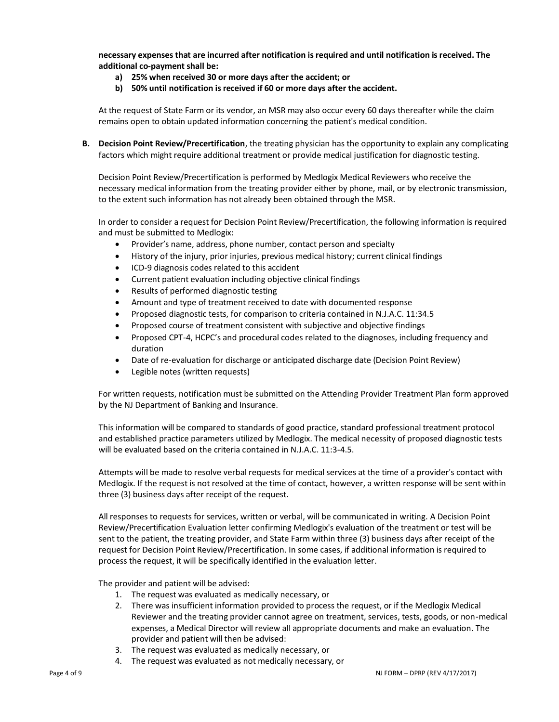**necessary expenses that are incurred after notification is required and until notification is received. The additional co-payment shall be:**

- **a) 25% when received 30 or more days after the accident; or**
- **b) 50% until notification is received if 60 or more days after the accident.**

At the request of State Farm or its vendor, an MSR may also occur every 60 days thereafter while the claim remains open to obtain updated information concerning the patient's medical condition.

**B. Decision Point Review/Precertification**, the treating physician has the opportunity to explain any complicating factors which might require additional treatment or provide medical justification for diagnostic testing.

Decision Point Review/Precertification is performed by Medlogix Medical Reviewers who receive the necessary medical information from the treating provider either by phone, mail, or by electronic transmission, to the extent such information has not already been obtained through the MSR.

In order to consider a request for Decision Point Review/Precertification, the following information is required and must be submitted to Medlogix:

- Provider's name, address, phone number, contact person and specialty
- History of the injury, prior injuries, previous medical history; current clinical findings
- ICD-9 diagnosis codes related to this accident
- Current patient evaluation including objective clinical findings
- Results of performed diagnostic testing
- Amount and type of treatment received to date with documented response
- Proposed diagnostic tests, for comparison to criteria contained in N.J.A.C. 11:34.5
- Proposed course of treatment consistent with subjective and objective findings
- Proposed CPT-4, HCPC's and procedural codes related to the diagnoses, including frequency and duration
- Date of re-evaluation for discharge or anticipated discharge date (Decision Point Review)
- Legible notes (written requests)

For written requests, notification must be submitted on the Attending Provider Treatment Plan form approved by the NJ Department of Banking and Insurance.

This information will be compared to standards of good practice, standard professional treatment protocol and established practice parameters utilized by Medlogix. The medical necessity of proposed diagnostic tests will be evaluated based on the criteria contained in N.J.A.C. 11:3-4.5.

Attempts will be made to resolve verbal requests for medical services at the time of a provider's contact with Medlogix. If the request is not resolved at the time of contact, however, a written response will be sent within three (3) business days after receipt of the request.

All responses to requests for services, written or verbal, will be communicated in writing. A Decision Point Review/Precertification Evaluation letter confirming Medlogix's evaluation of the treatment or test will be sent to the patient, the treating provider, and State Farm within three (3) business days after receipt of the request for Decision Point Review/Precertification. In some cases, if additional information is required to process the request, it will be specifically identified in the evaluation letter.

The provider and patient will be advised:

- 1. The request was evaluated as medically necessary, or
- 2. There was insufficient information provided to process the request, or if the Medlogix Medical Reviewer and the treating provider cannot agree on treatment, services, tests, goods, or non-medical expenses, a Medical Director will review all appropriate documents and make an evaluation. The provider and patient will then be advised:
- 3. The request was evaluated as medically necessary, or
- 4. The request was evaluated as not medically necessary, or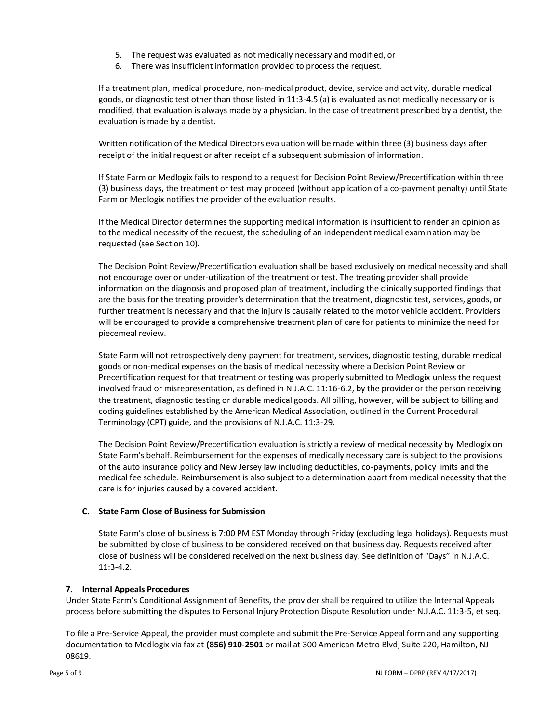- 5. The request was evaluated as not medically necessary and modified, or
- 6. There was insufficient information provided to process the request.

If a treatment plan, medical procedure, non-medical product, device, service and activity, durable medical goods, or diagnostic test other than those listed in 11:3-4.5 (a) is evaluated as not medically necessary or is modified, that evaluation is always made by a physician. In the case of treatment prescribed by a dentist, the evaluation is made by a dentist.

Written notification of the Medical Directors evaluation will be made within three (3) business days after receipt of the initial request or after receipt of a subsequent submission of information.

If State Farm or Medlogix fails to respond to a request for Decision Point Review/Precertification within three (3) business days, the treatment or test may proceed (without application of a co-payment penalty) until State Farm or Medlogix notifies the provider of the evaluation results.

If the Medical Director determines the supporting medical information is insufficient to render an opinion as to the medical necessity of the request, the scheduling of an independent medical examination may be requested (see Section 10).

The Decision Point Review/Precertification evaluation shall be based exclusively on medical necessity and shall not encourage over or under-utilization of the treatment or test. The treating provider shall provide information on the diagnosis and proposed plan of treatment, including the clinically supported findings that are the basis for the treating provider's determination that the treatment, diagnostic test, services, goods, or further treatment is necessary and that the injury is causally related to the motor vehicle accident. Providers will be encouraged to provide a comprehensive treatment plan of care for patients to minimize the need for piecemeal review.

State Farm will not retrospectively deny payment for treatment, services, diagnostic testing, durable medical goods or non-medical expenses on the basis of medical necessity where a Decision Point Review or Precertification request for that treatment or testing was properly submitted to Medlogix unless the request involved fraud or misrepresentation, as defined in N.J.A.C. 11:16-6.2, by the provider or the person receiving the treatment, diagnostic testing or durable medical goods. All billing, however, will be subject to billing and coding guidelines established by the American Medical Association, outlined in the Current Procedural Terminology (CPT) guide, and the provisions of N.J.A.C. 11:3-29.

The Decision Point Review/Precertification evaluation is strictly a review of medical necessity by Medlogix on State Farm's behalf. Reimbursement for the expenses of medically necessary care is subject to the provisions of the auto insurance policy and New Jersey law including deductibles, co-payments, policy limits and the medical fee schedule. Reimbursement is also subject to a determination apart from medical necessity that the care is for injuries caused by a covered accident.

## **C. State Farm Close of Business for Submission**

State Farm's close of business is 7:00 PM EST Monday through Friday (excluding legal holidays). Requests must be submitted by close of business to be considered received on that business day. Requests received after close of business will be considered received on the next business day. See definition of "Days" in N.J.A.C. 11:3-4.2.

## **7. Internal Appeals Procedures**

Under State Farm's Conditional Assignment of Benefits, the provider shall be required to utilize the Internal Appeals process before submitting the disputes to Personal Injury Protection Dispute Resolution under N.J.A.C. 11:3-5, et seq.

To file a Pre-Service Appeal, the provider must complete and submit the Pre-Service Appeal form and any supporting documentation to Medlogix via fax at **(856) 910-2501** or mail at 300 American Metro Blvd, Suite 220, Hamilton, NJ 08619.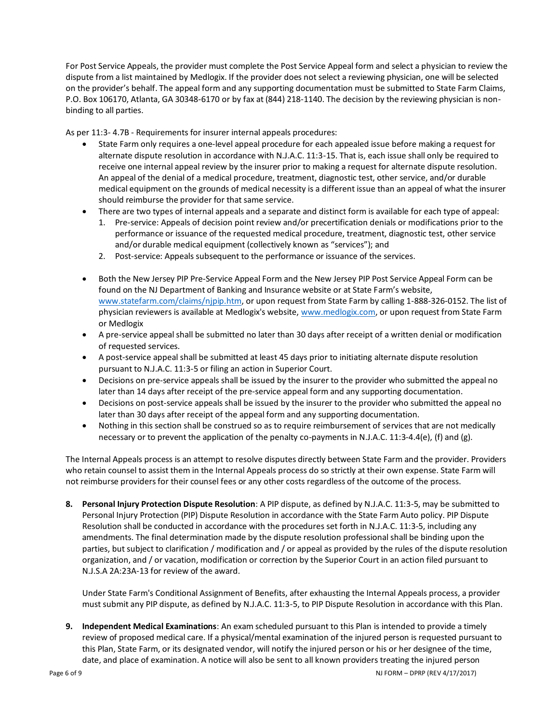For Post Service Appeals, the provider must complete the Post Service Appeal form and select a physician to review the dispute from a list maintained by Medlogix. If the provider does not select a reviewing physician, one will be selected on the provider's behalf. The appeal form and any supporting documentation must be submitted to State Farm Claims, P.O. Box 106170, Atlanta, GA 30348-6170 or by fax at (844) 218-1140. The decision by the reviewing physician is nonbinding to all parties.

As per 11:3- 4.7B - Requirements for insurer internal appeals procedures:

- State Farm only requires a one-level appeal procedure for each appealed issue before making a request for alternate dispute resolution in accordance with N.J.A.C. 11:3-15. That is, each issue shall only be required to receive one internal appeal review by the insurer prior to making a request for alternate dispute resolution. An appeal of the denial of a medical procedure, treatment, diagnostic test, other service, and/or durable medical equipment on the grounds of medical necessity is a different issue than an appeal of what the insurer should reimburse the provider for that same service.
- There are two types of internal appeals and a separate and distinct form is available for each type of appeal:
	- 1. Pre-service: Appeals of decision point review and/or precertification denials or modifications prior to the performance or issuance of the requested medical procedure, treatment, diagnostic test, other service and/or durable medical equipment (collectively known as "services"); and
	- 2. Post-service: Appeals subsequent to the performance or issuance of the services.
- Both the New Jersey PIP Pre-Service Appeal Form and the New Jersey PIP Post Service Appeal Form can be found on the NJ Department of Banking and Insurance website or at State Farm's website, [www.statefarm.com/claims/njpip.htm,](http://www.statefarm.com/claims/njpip.htm) or upon request from State Farm by calling 1-888-326-0152. The list of physician reviewers is available at Medlogix's website, [www.medlogix.com,](http://www.medlogix.com/) or upon request from State Farm or Medlogix
- A pre-service appeal shall be submitted no later than 30 days after receipt of a written denial or modification of requested services.
- A post-service appeal shall be submitted at least 45 days prior to initiating alternate dispute resolution pursuant to N.J.A.C. 11:3-5 or filing an action in Superior Court.
- Decisions on pre-service appeals shall be issued by the insurer to the provider who submitted the appeal no later than 14 days after receipt of the pre-service appeal form and any supporting documentation.
- Decisions on post-service appeals shall be issued by the insurer to the provider who submitted the appeal no later than 30 days after receipt of the appeal form and any supporting documentation.
- Nothing in this section shall be construed so as to require reimbursement of services that are not medically necessary or to prevent the application of the penalty co-payments in N.J.A.C. 11:3-4.4(e), (f) and (g).

The Internal Appeals process is an attempt to resolve disputes directly between State Farm and the provider. Providers who retain counsel to assist them in the Internal Appeals process do so strictly at their own expense. State Farm will not reimburse providers for their counsel fees or any other costs regardless of the outcome of the process.

**8. Personal Injury Protection Dispute Resolution**: A PIP dispute, as defined by N.J.A.C. 11:3-5, may be submitted to Personal Injury Protection (PIP) Dispute Resolution in accordance with the State Farm Auto policy. PIP Dispute Resolution shall be conducted in accordance with the procedures set forth in N.J.A.C. 11:3-5, including any amendments. The final determination made by the dispute resolution professional shall be binding upon the parties, but subject to clarification / modification and / or appeal as provided by the rules of the dispute resolution organization, and / or vacation, modification or correction by the Superior Court in an action filed pursuant to N.J.S.A 2A:23A-13 for review of the award.

Under State Farm's Conditional Assignment of Benefits, after exhausting the Internal Appeals process, a provider must submit any PIP dispute, as defined by N.J.A.C. 11:3-5, to PIP Dispute Resolution in accordance with this Plan.

**9. Independent Medical Examinations**: An exam scheduled pursuant to this Plan is intended to provide a timely review of proposed medical care. If a physical/mental examination of the injured person is requested pursuant to this Plan, State Farm, or its designated vendor, will notify the injured person or his or her designee of the time, date, and place of examination. A notice will also be sent to all known providers treating the injured person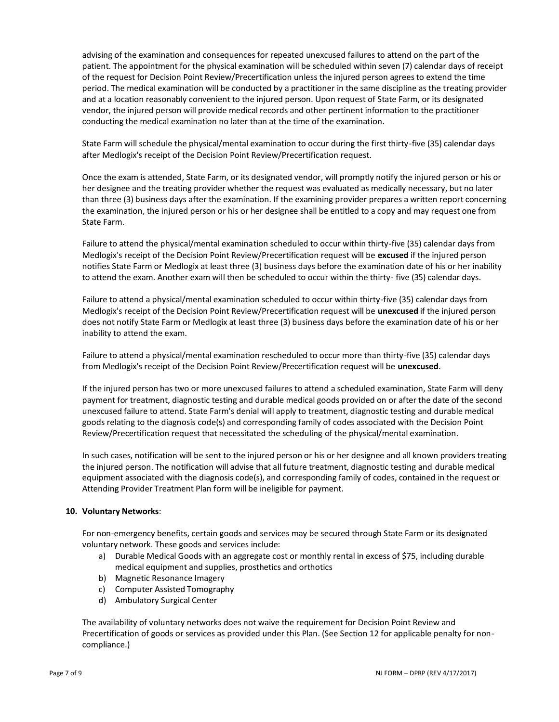advising of the examination and consequences for repeated unexcused failures to attend on the part of the patient. The appointment for the physical examination will be scheduled within seven (7) calendar days of receipt of the request for Decision Point Review/Precertification unless the injured person agrees to extend the time period. The medical examination will be conducted by a practitioner in the same discipline as the treating provider and at a location reasonably convenient to the injured person. Upon request of State Farm, or its designated vendor, the injured person will provide medical records and other pertinent information to the practitioner conducting the medical examination no later than at the time of the examination.

State Farm will schedule the physical/mental examination to occur during the first thirty-five (35) calendar days after Medlogix's receipt of the Decision Point Review/Precertification request.

Once the exam is attended, State Farm, or its designated vendor, will promptly notify the injured person or his or her designee and the treating provider whether the request was evaluated as medically necessary, but no later than three (3) business days after the examination. If the examining provider prepares a written report concerning the examination, the injured person or his or her designee shall be entitled to a copy and may request one from State Farm.

Failure to attend the physical/mental examination scheduled to occur within thirty-five (35) calendar days from Medlogix's receipt of the Decision Point Review/Precertification request will be **excused** if the injured person notifies State Farm or Medlogix at least three (3) business days before the examination date of his or her inability to attend the exam. Another exam will then be scheduled to occur within the thirty- five (35) calendar days.

Failure to attend a physical/mental examination scheduled to occur within thirty-five (35) calendar days from Medlogix's receipt of the Decision Point Review/Precertification request will be **unexcused** if the injured person does not notify State Farm or Medlogix at least three (3) business days before the examination date of his or her inability to attend the exam.

Failure to attend a physical/mental examination rescheduled to occur more than thirty-five (35) calendar days from Medlogix's receipt of the Decision Point Review/Precertification request will be **unexcused**.

If the injured person has two or more unexcused failures to attend a scheduled examination, State Farm will deny payment for treatment, diagnostic testing and durable medical goods provided on or after the date of the second unexcused failure to attend. State Farm's denial will apply to treatment, diagnostic testing and durable medical goods relating to the diagnosis code(s) and corresponding family of codes associated with the Decision Point Review/Precertification request that necessitated the scheduling of the physical/mental examination.

In such cases, notification will be sent to the injured person or his or her designee and all known providers treating the injured person. The notification will advise that all future treatment, diagnostic testing and durable medical equipment associated with the diagnosis code(s), and corresponding family of codes, contained in the request or Attending Provider Treatment Plan form will be ineligible for payment.

## **10. Voluntary Networks**:

For non-emergency benefits, certain goods and services may be secured through State Farm or its designated voluntary network. These goods and services include:

- a) Durable Medical Goods with an aggregate cost or monthly rental in excess of \$75, including durable medical equipment and supplies, prosthetics and orthotics
- b) Magnetic Resonance Imagery
- c) Computer Assisted Tomography
- d) Ambulatory Surgical Center

The availability of voluntary networks does not waive the requirement for Decision Point Review and Precertification of goods or services as provided under this Plan. (See Section 12 for applicable penalty for noncompliance.)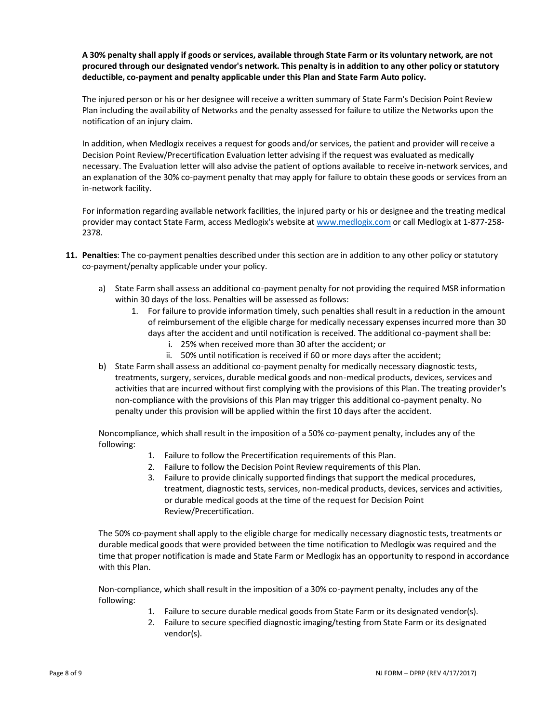**A 30% penalty shall apply if goods or services, available through State Farm or its voluntary network, are not procured through our designated vendor's network. This penalty is in addition to any other policy or statutory deductible, co-payment and penalty applicable under this Plan and State Farm Auto policy.** 

The injured person or his or her designee will receive a written summary of State Farm's Decision Point Review Plan including the availability of Networks and the penalty assessed for failure to utilize the Networks upon the notification of an injury claim.

In addition, when Medlogix receives a request for goods and/or services, the patient and provider will receive a Decision Point Review/Precertification Evaluation letter advising if the request was evaluated as medically necessary. The Evaluation letter will also advise the patient of options available to receive in-network services, and an explanation of the 30% co-payment penalty that may apply for failure to obtain these goods or services from an in-network facility.

For information regarding available network facilities, the injured party or his or designee and the treating medical provider may contact State Farm, access Medlogix's website at [www.medlogix.com](http://www.medlogix.com/) or call Medlogix at 1-877-258- 2378.

- **11. Penalties**: The co-payment penalties described under this section are in addition to any other policy or statutory co-payment/penalty applicable under your policy.
	- a) State Farm shall assess an additional co-payment penalty for not providing the required MSR information within 30 days of the loss. Penalties will be assessed as follows:
		- 1. For failure to provide information timely, such penalties shall result in a reduction in the amount of reimbursement of the eligible charge for medically necessary expenses incurred more than 30 days after the accident and until notification is received. The additional co-payment shall be:
			- i. 25% when received more than 30 after the accident; or
			- ii. 50% until notification is received if 60 or more days after the accident;
	- b) State Farm shall assess an additional co-payment penalty for medically necessary diagnostic tests, treatments, surgery, services, durable medical goods and non-medical products, devices, services and activities that are incurred without first complying with the provisions of this Plan. The treating provider's non-compliance with the provisions of this Plan may trigger this additional co-payment penalty. No penalty under this provision will be applied within the first 10 days after the accident.

Noncompliance, which shall result in the imposition of a 50% co-payment penalty, includes any of the following:

- 1. Failure to follow the Precertification requirements of this Plan.
- 2. Failure to follow the Decision Point Review requirements of this Plan.
- 3. Failure to provide clinically supported findings that support the medical procedures, treatment, diagnostic tests, services, non-medical products, devices, services and activities, or durable medical goods at the time of the request for Decision Point Review/Precertification.

The 50% co-payment shall apply to the eligible charge for medically necessary diagnostic tests, treatments or durable medical goods that were provided between the time notification to Medlogix was required and the time that proper notification is made and State Farm or Medlogix has an opportunity to respond in accordance with this Plan.

Non-compliance, which shall result in the imposition of a 30% co-payment penalty, includes any of the following:

- 1. Failure to secure durable medical goods from State Farm or its designated vendor(s).
- 2. Failure to secure specified diagnostic imaging/testing from State Farm or its designated vendor(s).